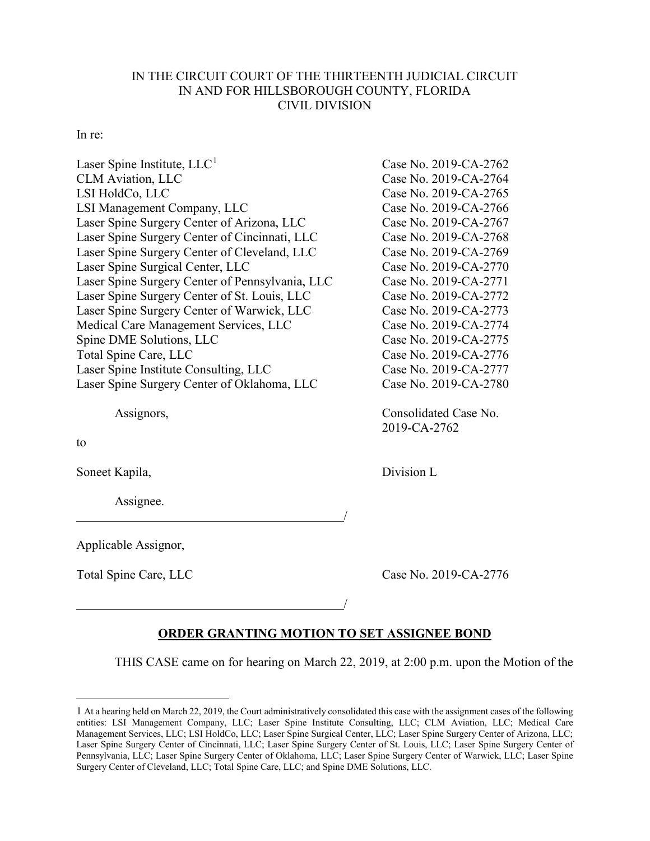## IN THE CIRCUIT COURT OF THE THIRTEENTH JUDICIAL CIRCUIT IN AND FOR HILLSBOROUGH COUNTY, FLORIDA CIVIL DIVISION

## In re:

| Case No. 2019-CA-2762 |
|-----------------------|
| Case No. 2019-CA-2764 |
| Case No. 2019-CA-2765 |
| Case No. 2019-CA-2766 |
| Case No. 2019-CA-2767 |
| Case No. 2019-CA-2768 |
| Case No. 2019-CA-2769 |
| Case No. 2019-CA-2770 |
| Case No. 2019-CA-2771 |
| Case No. 2019-CA-2772 |
| Case No. 2019-CA-2773 |
| Case No. 2019-CA-2774 |
| Case No. 2019-CA-2775 |
| Case No. 2019-CA-2776 |
| Case No. 2019-CA-2777 |
| Case No. 2019-CA-2780 |
|                       |
|                       |

Assignors, Consolidated Case No.

to

 $\overline{a}$ 

Soneet Kapila, Division L

Assignee.

Applicable Assignor,

Total Spine Care, LLC Case No. 2019-CA-2776

2019-CA-2762

## **ORDER GRANTING MOTION TO SET ASSIGNEE BOND**

THIS CASE came on for hearing on March 22, 2019, at 2:00 p.m. upon the Motion of the

/

/

<sup>1</sup> At a hearing held on March 22, 2019, the Court administratively consolidated this case with the assignment cases of the following entities: LSI Management Company, LLC; Laser Spine Institute Consulting, LLC; CLM Aviation, LLC; Medical Care Management Services, LLC; LSI HoldCo, LLC; Laser Spine Surgical Center, LLC; Laser Spine Surgery Center of Arizona, LLC; Laser Spine Surgery Center of Cincinnati, LLC; Laser Spine Surgery Center of St. Louis, LLC; Laser Spine Surgery Center of Pennsylvania, LLC; Laser Spine Surgery Center of Oklahoma, LLC; Laser Spine Surgery Center of Warwick, LLC; Laser Spine Surgery Center of Cleveland, LLC; Total Spine Care, LLC; and Spine DME Solutions, LLC.